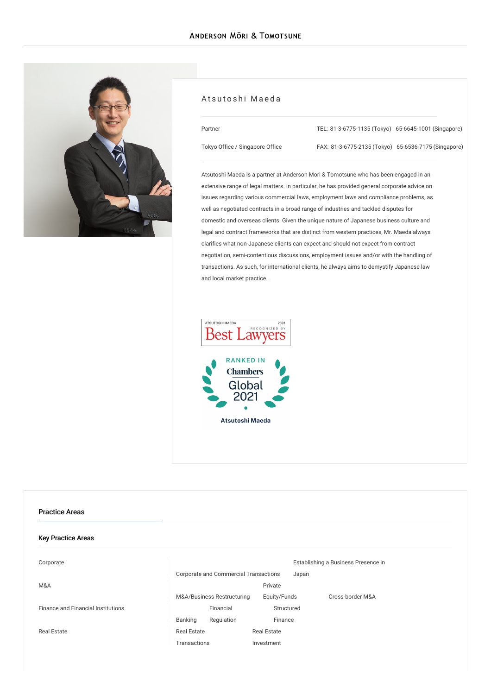

#### Atsutoshi Maeda

| Partner                         | TEL: 81-3-6775-1135 (Tokyo) 65-6645-1001 (Singapore) |  |
|---------------------------------|------------------------------------------------------|--|
| Tokyo Office / Singapore Office | FAX: 81-3-6775-2135 (Tokyo) 65-6536-7175 (Singapore) |  |

Atsutoshi Maeda is a partner at Anderson Mori & Tomotsune who has been engaged in an extensive range of legal matters. In particular, he has provided general corporate advice on issues regarding various commercial laws, employment laws and compliance problems, as well as negotiated contracts in a broad range of industries and tackled disputes for domestic and overseas clients. Given the unique nature of Japanese business culture and legal and contract frameworks that are distinct from western practices, Mr. Maeda always clarifies what non-Japanese clients can expect and should not expect from contract negotiation, semi-contentious discussions, employment issues and/or with the handling of transactions. As such, for international clients, he always aims to demystify Japanese law and local market practice.



#### Practice Areas

| <b>Key Practice Areas</b>          |                                              |                    |                                     |
|------------------------------------|----------------------------------------------|--------------------|-------------------------------------|
| Corporate                          |                                              |                    | Establishing a Business Presence in |
|                                    | <b>Corporate and Commercial Transactions</b> | Japan              |                                     |
| M&A                                |                                              | Private            |                                     |
|                                    | M&A/Business Restructuring                   | Equity/Funds       | Cross-border M&A                    |
| Finance and Financial Institutions | Financial                                    | Structured         |                                     |
|                                    | Banking<br>Regulation                        | Finance            |                                     |
| Real Estate                        | <b>Real Estate</b>                           | <b>Real Estate</b> |                                     |
|                                    | Transactions                                 | Investment         |                                     |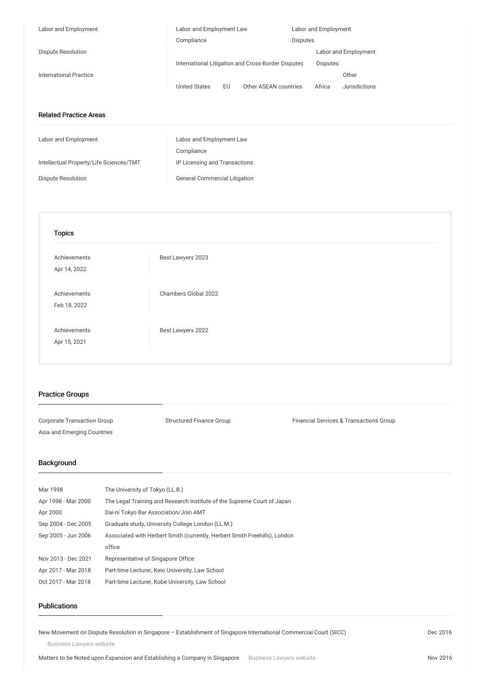| Labor and Employment                    | Labor and Employment Law                           |                       | Labor and Employment |                      |
|-----------------------------------------|----------------------------------------------------|-----------------------|----------------------|----------------------|
|                                         | Compliance                                         |                       | Disputes             |                      |
| Dispute Resolution                      |                                                    |                       |                      | Labor and Employment |
|                                         | International Litigation and Cross-Border Disputes |                       | Disputes             |                      |
| <b>International Practice</b>           |                                                    |                       |                      | Other                |
|                                         | <b>United States</b><br><b>EU</b>                  | Other ASEAN countries | Africa               | Jurisdictions        |
|                                         |                                                    |                       |                      |                      |
| <b>Related Practice Areas</b>           |                                                    |                       |                      |                      |
| Labor and Employment                    | Labor and Employment Law                           |                       |                      |                      |
|                                         | Compliance                                         |                       |                      |                      |
| Intellectual Property/Life Sciences/TMT | IP Licensing and Transactions                      |                       |                      |                      |
|                                         |                                                    |                       |                      |                      |
| Dispute Resolution                      | <b>General Commercial Litigation</b>               |                       |                      |                      |
|                                         |                                                    |                       |                      |                      |
| <b>Topics</b>                           |                                                    |                       |                      |                      |
|                                         |                                                    |                       |                      |                      |
| Achievements                            | Best Lawyers 2023                                  |                       |                      |                      |
| Apr 14, 2022                            |                                                    |                       |                      |                      |
|                                         |                                                    |                       |                      |                      |
| Achievements                            | Chambers Global 2022                               |                       |                      |                      |
| Feb 18, 2022                            |                                                    |                       |                      |                      |
|                                         |                                                    |                       |                      |                      |
| Achievements                            | Best Lawyers 2022                                  |                       |                      |                      |
| Apr 15, 2021                            |                                                    |                       |                      |                      |
|                                         |                                                    |                       |                      |                      |
|                                         |                                                    |                       |                      |                      |
|                                         |                                                    |                       |                      |                      |

## Practice Groups

Corporate Transaction Group Structured Finance Group Finance Group Financial Services & Transactions Group Asia and Emerging Countries

## Background

| Mar 1998            | The University of Tokyo (LL.B.)                                            |
|---------------------|----------------------------------------------------------------------------|
| Apr 1998 - Mar 2000 | The Legal Training and Research Institute of the Supreme Court of Japan    |
| Apr 2000            | Dai-ni Tokyo Bar Association/Join AMT                                      |
| Sep 2004 - Dec 2005 | Graduate study, University College London (LL.M.)                          |
| Sep 2005 - Jun 2006 | Associated with Herbert Smith (currently, Herbert Smith Freehills), London |
|                     | office                                                                     |
| Nov 2013 - Dec 2021 | Representative of Singapore Office                                         |
| Apr 2017 - Mar 2018 | Part-time Lecturer, Keio University, Law School                            |
| Oct 2017 - Mar 2018 | Part-time Lecturer, Kobe University, Law School                            |

## Publications

New Movement on Dispute Resolution in Singapore – [Establishment](/en/publications/detail/publication_0012962_en_001) of Singapore International Commercial Court (SICC)

Business Lawyers website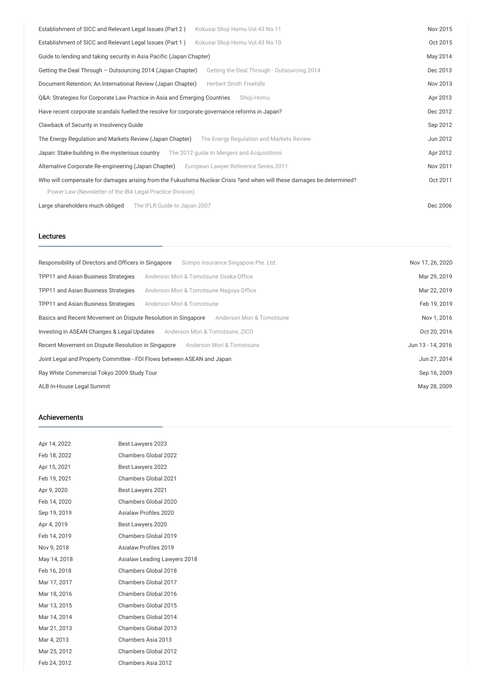| Establishment of SICC and Relevant Legal Issues (Part 2)<br>Kokusai Shoji Homu Vol.43 No.11                           | Nov 2015 |
|-----------------------------------------------------------------------------------------------------------------------|----------|
| Establishment of SICC and Relevant Legal Issues (Part 1)<br>Kokusai Shoji Homu Vol.43 No.10                           | Oct 2015 |
| Guide to lending and taking security in Asia Pacific (Japan Chapter)                                                  | May 2014 |
| Getting the Deal Through - Outsourcing 2014 (Japan Chapter)<br>Getting the Deal Through - Outsourcing 2014            | Dec 2013 |
| Document Retention: An International Review (Japan Chapter)<br><b>Herbert Smith Freehills</b>                         | Nov 2013 |
| Q&A: Strategies for Corporate Law Practice in Asia and Emerging Countries<br>Shoji Homu                               | Apr 2013 |
| Have recent corporate scandals fuelled the resolve for corporate governance reforms in Japan?                         | Dec 2012 |
| Clawback of Security in Insolvency Guide                                                                              | Sep 2012 |
| The Energy Regulation and Markets Review (Japan Chapter)<br>The Energy Regulation and Markets Review                  | Jun 2012 |
| Japan: Stake-building in the mysterious country<br>The 2012 guide to Mergers and Acquisitions                         | Apr 2012 |
| Alternative Corporate Re-engineering (Japan Chapter)<br>European Lawyer Reference Series 2011                         | Nov 2011 |
| Who will compensate for damages arising from the Fukushima Nuclear Crisis ?and when will these damages be determined? | Oct 2011 |
| Power Law (Newsletter of the IBA Legal Practice Division)                                                             |          |
| Large shareholders much obliged<br>The IFLR Guide to Japan 2007                                                       | Dec 2006 |

#### Lectures

| Responsibility of Directors and Officers in Singapore<br>Sompo Insurance Singapore Pte. Ltd. | Nov 17, 26, 2020  |
|----------------------------------------------------------------------------------------------|-------------------|
| Anderson Mori & Tomotsune Osaka Office<br>TPP11 and Asian Business Strategies                | Mar 29, 2019      |
| TPP11 and Asian Business Strategies<br>Anderson Mori & Tomotsune Nagoya Office               | Mar 22, 2019      |
| TPP11 and Asian Business Strategies<br>Anderson Mori & Tomotsune                             | Feb 19, 2019      |
| Anderson Mori & Tomotsune<br>Basics and Recent Movement on Dispute Resolution in Singapore   | Nov 1, 2016       |
| Investing in ASEAN Changes & Legal Updates<br>Anderson Mori & Tomotsune, ZICO                | Oct 20, 2016      |
| Anderson Mori & Tomotsune<br>Recent Movement on Dispute Resolution in Singapore              | Jun 13 - 14, 2016 |
| Joint Legal and Property Committee - FDI Flows between ASEAN and Japan                       | Jun 27, 2014      |
| Ray White Commercial Tokyo 2009 Study Tour                                                   | Sep 16, 2009      |
| ALB In-House Legal Summit                                                                    | May 28, 2009      |

### Achievements

| Apr 14, 2022 | Best Lawyers 2023            |
|--------------|------------------------------|
| Feb 18, 2022 | Chambers Global 2022         |
| Apr 15, 2021 | Best Lawyers 2022            |
| Feb 19, 2021 | Chambers Global 2021         |
| Apr 9, 2020  | Best Lawyers 2021            |
| Feb 14, 2020 | Chambers Global 2020         |
| Sep 19, 2019 | Asialaw Profiles 2020        |
| Apr 4, 2019  | Best Lawyers 2020            |
| Feb 14, 2019 | Chambers Global 2019         |
| Nov 9, 2018  | <b>Asialaw Profiles 2019</b> |
| May 14, 2018 | Asialaw Leading Lawyers 2018 |
| Feb 16, 2018 | Chambers Global 2018         |
| Mar 17, 2017 | Chambers Global 2017         |
| Mar 18, 2016 | Chambers Global 2016         |
| Mar 13, 2015 | Chambers Global 2015         |
| Mar 14, 2014 | Chambers Global 2014         |
| Mar 21, 2013 | Chambers Global 2013         |
| Mar 4, 2013  | Chambers Asia 2013           |
| Mar 25, 2012 | Chambers Global 2012         |
| Feb 24, 2012 | Chambers Asia 2012           |
|              |                              |